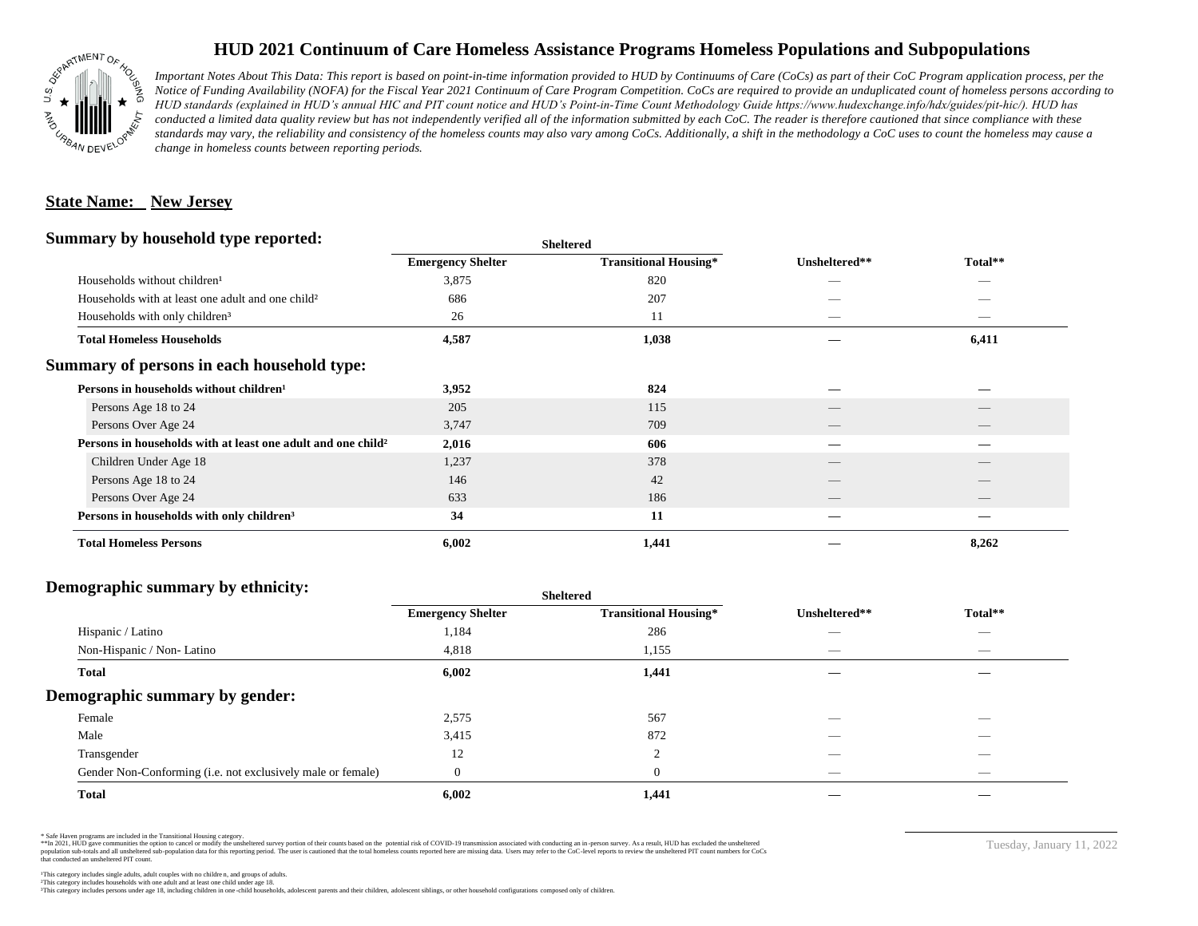

## **HUD 2021 Continuum of Care Homeless Assistance Programs Homeless Populations and Subpopulations**

*Important Notes About This Data: This report is based on point-in-time information provided to HUD by Continuums of Care (CoCs) as part of their CoC Program application process, per the Notice of Funding Availability (NOFA) for the Fiscal Year 2021 Continuum of Care Program Competition. CoCs are required to provide an unduplicated count of homeless persons according to HUD standards (explained in HUD's annual HIC and PIT count notice and HUD's Point-in-Time Count Methodology Guide https://www.hudexchange.info/hdx/guides/pit-hic/). HUD has*  conducted a limited data quality review but has not independently verified all of the information submitted by each CoC. The reader is therefore cautioned that since compliance with these standards may vary, the reliability and consistency of the homeless counts may also vary among CoCs. Additionally, a shift in the methodology a CoC uses to count the homeless may cause a *change in homeless counts between reporting periods.*

#### **State Name: New Jersey**

#### **Summary by household type reported:**

| Summary by household type reported:                                      | <b>Sheltered</b>         |                              |                          |                          |
|--------------------------------------------------------------------------|--------------------------|------------------------------|--------------------------|--------------------------|
|                                                                          | <b>Emergency Shelter</b> | <b>Transitional Housing*</b> | Unsheltered**            | Total**                  |
| Households without children <sup>1</sup>                                 | 3,875                    | 820                          |                          |                          |
| Households with at least one adult and one child <sup>2</sup>            | 686                      | 207                          |                          |                          |
| Households with only children <sup>3</sup>                               | 26                       | 11                           |                          |                          |
| <b>Total Homeless Households</b>                                         | 4,587                    | 1,038                        |                          | 6,411                    |
| Summary of persons in each household type:                               |                          |                              |                          |                          |
| Persons in households without children <sup>1</sup>                      | 3,952                    | 824                          | _                        | --                       |
| Persons Age 18 to 24                                                     | 205                      | 115                          |                          |                          |
| Persons Over Age 24                                                      | 3,747                    | 709                          | __                       | $\overline{\phantom{a}}$ |
| Persons in households with at least one adult and one child <sup>2</sup> | 2,016                    | 606                          | --                       | –                        |
| Children Under Age 18                                                    | 1,237                    | 378                          |                          |                          |
| Persons Age 18 to 24                                                     | 146                      | 42                           |                          |                          |
| Persons Over Age 24                                                      | 633                      | 186                          | $\qquad \qquad - \qquad$ | $\qquad \qquad - \qquad$ |
| Persons in households with only children <sup>3</sup>                    | 34                       | 11                           |                          |                          |
| <b>Total Homeless Persons</b>                                            | 6,002                    | 1,441                        |                          | 8,262                    |

### **Demographic summary by ethnicity:**

|                                                             | <b>Sheltered</b>         |                              |                          |                          |  |
|-------------------------------------------------------------|--------------------------|------------------------------|--------------------------|--------------------------|--|
|                                                             | <b>Emergency Shelter</b> | <b>Transitional Housing*</b> | Unsheltered**            | Total**                  |  |
| Hispanic / Latino                                           | 1,184                    | 286                          | __                       | $\overline{\phantom{a}}$ |  |
| Non-Hispanic / Non-Latino                                   | 4,818                    | 1,155                        |                          |                          |  |
| <b>Total</b>                                                | 6,002                    | 1,441                        |                          |                          |  |
| Demographic summary by gender:                              |                          |                              |                          |                          |  |
| Female                                                      | 2,575                    | 567                          | _                        | $\overline{\phantom{a}}$ |  |
| Male                                                        | 3,415                    | 872                          |                          |                          |  |
| Transgender                                                 | 12                       | 2                            |                          | $\sim$                   |  |
| Gender Non-Conforming (i.e. not exclusively male or female) | $\Omega$                 | $\theta$                     | $\overline{\phantom{a}}$ | $\overline{\phantom{a}}$ |  |
| <b>Total</b>                                                | 6,002                    | 1,441                        |                          |                          |  |

\* Safe Haven programs are included in the Transitional Housing category.

\*\*In 2021, HUD gave communities the option to cancel or modify the unsheltered survey portion of their counts based on the potential risk of COVID-19 transmission associated with conducting an in-person survey. As a result n political and distribution of the resort in the constant of the experimental and the constant of the constant of the constant of the constant of the constant of the constant of the constant of the constant of the constan that conducted an unsheltered PIT count.

Tuesday, January 11, 2022